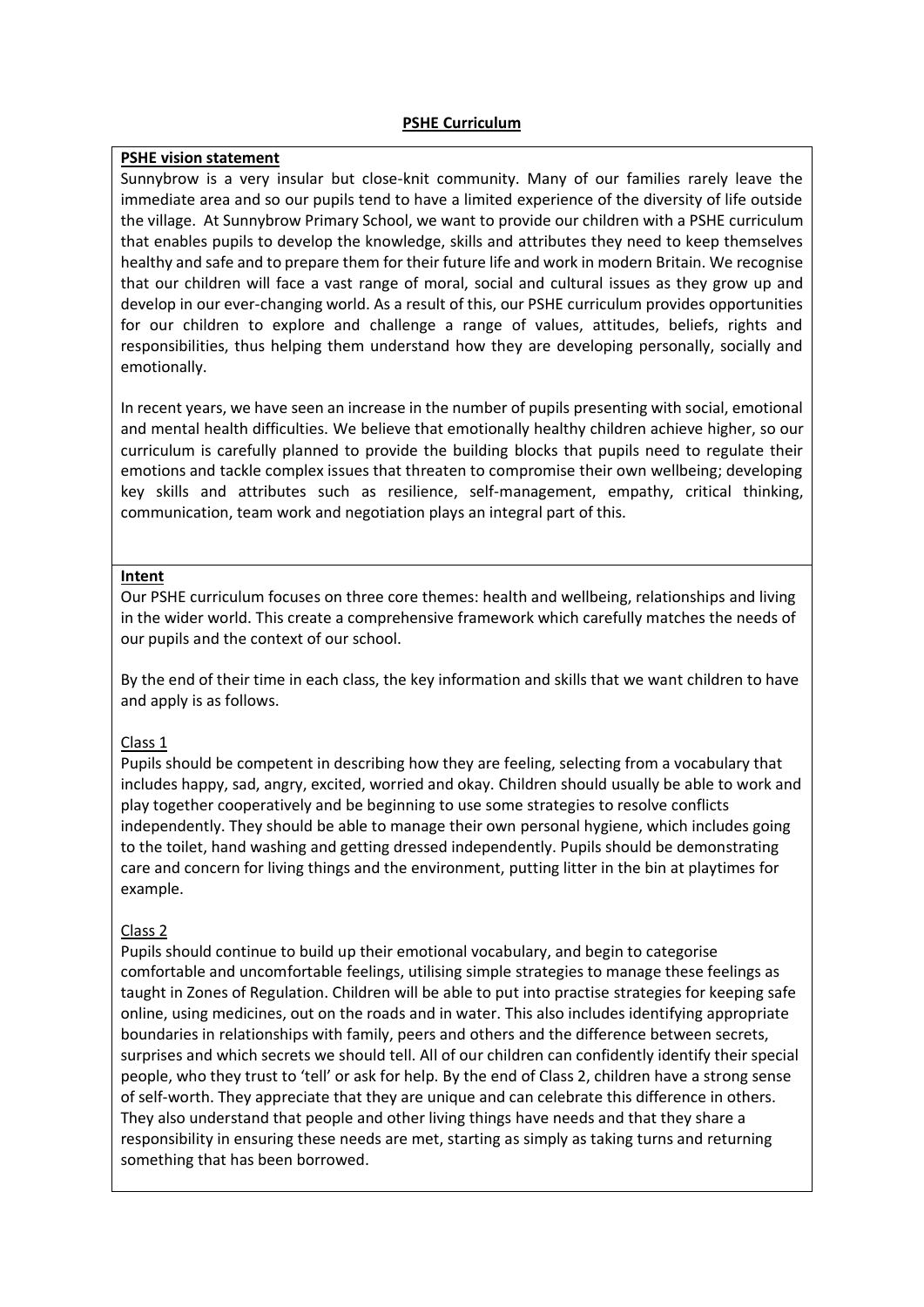## **PSHE Curriculum**

## **PSHE vision statement**

Sunnybrow is a very insular but close-knit community. Many of our families rarely leave the immediate area and so our pupils tend to have a limited experience of the diversity of life outside the village. At Sunnybrow Primary School, we want to provide our children with a PSHE curriculum that enables pupils to develop the knowledge, skills and attributes they need to keep themselves healthy and safe and to prepare them for their future life and work in modern Britain. We recognise that our children will face a vast range of moral, social and cultural issues as they grow up and develop in our ever-changing world. As a result of this, our PSHE curriculum provides opportunities for our children to explore and challenge a range of values, attitudes, beliefs, rights and responsibilities, thus helping them understand how they are developing personally, socially and emotionally.

In recent years, we have seen an increase in the number of pupils presenting with social, emotional and mental health difficulties. We believe that emotionally healthy children achieve higher, so our curriculum is carefully planned to provide the building blocks that pupils need to regulate their emotions and tackle complex issues that threaten to compromise their own wellbeing; developing key skills and attributes such as resilience, self-management, empathy, critical thinking, communication, team work and negotiation plays an integral part of this.

## **Intent**

Our PSHE curriculum focuses on three core themes: health and wellbeing, relationships and living in the wider world. This create a comprehensive framework which carefully matches the needs of our pupils and the context of our school.

By the end of their time in each class, the key information and skills that we want children to have and apply is as follows.

# Class 1

Pupils should be competent in describing how they are feeling, selecting from a vocabulary that includes happy, sad, angry, excited, worried and okay. Children should usually be able to work and play together cooperatively and be beginning to use some strategies to resolve conflicts independently. They should be able to manage their own personal hygiene, which includes going to the toilet, hand washing and getting dressed independently. Pupils should be demonstrating care and concern for living things and the environment, putting litter in the bin at playtimes for example.

# Class 2

Pupils should continue to build up their emotional vocabulary, and begin to categorise comfortable and uncomfortable feelings, utilising simple strategies to manage these feelings as taught in Zones of Regulation. Children will be able to put into practise strategies for keeping safe online, using medicines, out on the roads and in water. This also includes identifying appropriate boundaries in relationships with family, peers and others and the difference between secrets, surprises and which secrets we should tell. All of our children can confidently identify their special people, who they trust to 'tell' or ask for help. By the end of Class 2, children have a strong sense of self-worth. They appreciate that they are unique and can celebrate this difference in others. They also understand that people and other living things have needs and that they share a responsibility in ensuring these needs are met, starting as simply as taking turns and returning something that has been borrowed.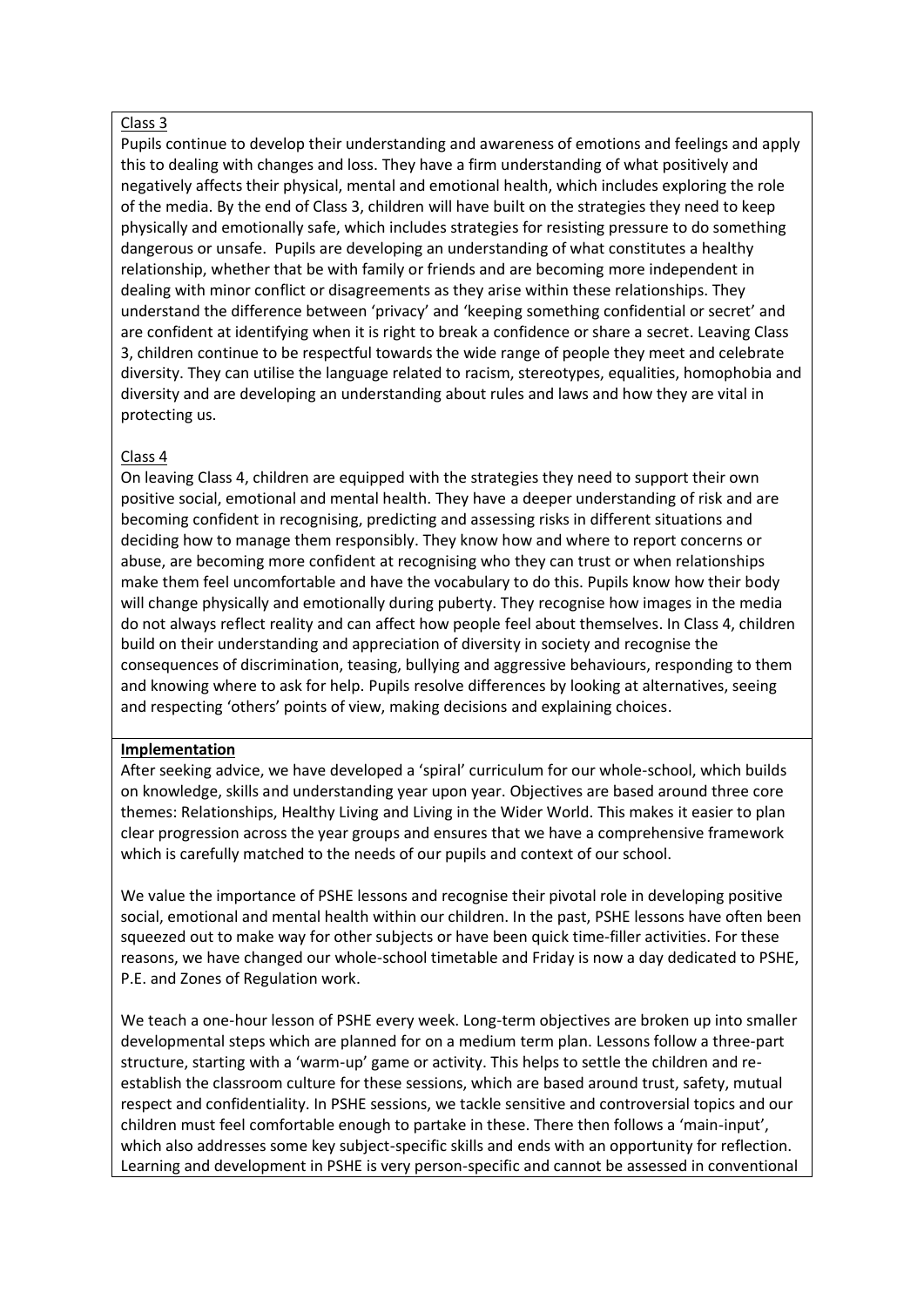# Class 3

Pupils continue to develop their understanding and awareness of emotions and feelings and apply this to dealing with changes and loss. They have a firm understanding of what positively and negatively affects their physical, mental and emotional health, which includes exploring the role of the media. By the end of Class 3, children will have built on the strategies they need to keep physically and emotionally safe, which includes strategies for resisting pressure to do something dangerous or unsafe. Pupils are developing an understanding of what constitutes a healthy relationship, whether that be with family or friends and are becoming more independent in dealing with minor conflict or disagreements as they arise within these relationships. They understand the difference between 'privacy' and 'keeping something confidential or secret' and are confident at identifying when it is right to break a confidence or share a secret. Leaving Class 3, children continue to be respectful towards the wide range of people they meet and celebrate diversity. They can utilise the language related to racism, stereotypes, equalities, homophobia and diversity and are developing an understanding about rules and laws and how they are vital in protecting us.

## Class 4

On leaving Class 4, children are equipped with the strategies they need to support their own positive social, emotional and mental health. They have a deeper understanding of risk and are becoming confident in recognising, predicting and assessing risks in different situations and deciding how to manage them responsibly. They know how and where to report concerns or abuse, are becoming more confident at recognising who they can trust or when relationships make them feel uncomfortable and have the vocabulary to do this. Pupils know how their body will change physically and emotionally during puberty. They recognise how images in the media do not always reflect reality and can affect how people feel about themselves. In Class 4, children build on their understanding and appreciation of diversity in society and recognise the consequences of discrimination, teasing, bullying and aggressive behaviours, responding to them and knowing where to ask for help. Pupils resolve differences by looking at alternatives, seeing and respecting 'others' points of view, making decisions and explaining choices.

#### **Implementation**

After seeking advice, we have developed a 'spiral' curriculum for our whole-school, which builds on knowledge, skills and understanding year upon year. Objectives are based around three core themes: Relationships, Healthy Living and Living in the Wider World. This makes it easier to plan clear progression across the year groups and ensures that we have a comprehensive framework which is carefully matched to the needs of our pupils and context of our school.

We value the importance of PSHE lessons and recognise their pivotal role in developing positive social, emotional and mental health within our children. In the past, PSHE lessons have often been squeezed out to make way for other subjects or have been quick time-filler activities. For these reasons, we have changed our whole-school timetable and Friday is now a day dedicated to PSHE, P.E. and Zones of Regulation work.

We teach a one-hour lesson of PSHE every week. Long-term objectives are broken up into smaller developmental steps which are planned for on a medium term plan. Lessons follow a three-part structure, starting with a 'warm-up' game or activity. This helps to settle the children and reestablish the classroom culture for these sessions, which are based around trust, safety, mutual respect and confidentiality. In PSHE sessions, we tackle sensitive and controversial topics and our children must feel comfortable enough to partake in these. There then follows a 'main-input', which also addresses some key subject-specific skills and ends with an opportunity for reflection. Learning and development in PSHE is very person-specific and cannot be assessed in conventional